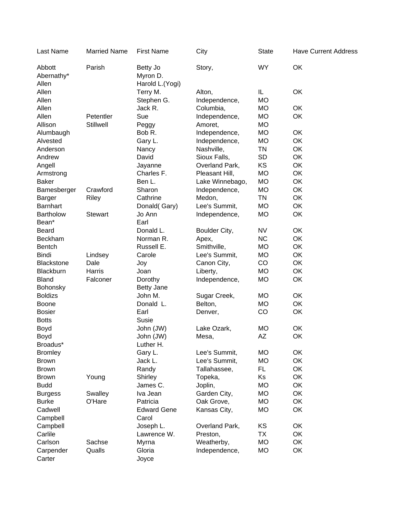| Last Name                     | <b>Married Name</b> | <b>First Name</b>                       | City            | <b>State</b> | <b>Have Current Address</b> |
|-------------------------------|---------------------|-----------------------------------------|-----------------|--------------|-----------------------------|
| Abbott<br>Abernathy*<br>Allen | Parish              | Betty Jo<br>Myron D.<br>Harold L.(Yogi) | Story,          | <b>WY</b>    | OK                          |
| Allen                         |                     | Terry M.                                | Alton,          | IL.          | OK                          |
| Allen                         |                     | Stephen G.                              | Independence,   | <b>MO</b>    |                             |
| Allen                         |                     | Jack R.                                 | Columbia,       | <b>MO</b>    | OK                          |
| Allen                         | Petentler           | Sue                                     | Independence,   | <b>MO</b>    | OK                          |
| Allison                       | Stillwell           | Peggy                                   | Amoret,         | <b>MO</b>    |                             |
| Alumbaugh                     |                     | Bob R.                                  | Independence,   | <b>MO</b>    | OK                          |
| Alvested                      |                     | Gary L.                                 | Independence,   | <b>MO</b>    | OK                          |
| Anderson                      |                     | Nancy                                   | Nashville,      | <b>TN</b>    | OK                          |
| Andrew                        |                     | David                                   | Sioux Falls,    | <b>SD</b>    | OK                          |
|                               |                     | Jayanne                                 | Overland Park,  | KS           | OK                          |
| Angell                        |                     | Charles F.                              | Pleasant Hill,  | <b>MO</b>    | OK                          |
| Armstrong                     |                     |                                         |                 | <b>MO</b>    | OK                          |
| <b>Baker</b>                  |                     | Ben L.                                  | Lake Winnebago, |              |                             |
| Bamesberger                   | Crawford            | Sharon                                  | Independence,   | <b>MO</b>    | OK                          |
| <b>Barger</b>                 | Riley               | Cathrine                                | Medon,          | <b>TN</b>    | OK                          |
| <b>Barnhart</b>               |                     | Donald(Gary)                            | Lee's Summit,   | <b>MO</b>    | OK                          |
| <b>Bartholow</b><br>Bean*     | <b>Stewart</b>      | Jo Ann<br>Earl                          | Independence,   | <b>MO</b>    | OK                          |
| <b>Beard</b>                  |                     | Donald L.                               | Boulder City,   | <b>NV</b>    | OK                          |
| Beckham                       |                     | Norman R.                               | Apex,           | <b>NC</b>    | OK                          |
| Bentch                        |                     | Russell E.                              | Smithville,     | <b>MO</b>    | OK                          |
| Bindi                         | Lindsey             | Carole                                  | Lee's Summit,   | <b>MO</b>    | OK                          |
| <b>Blackstone</b>             | Dale                | Joy                                     | Canon City,     | CO           | OK                          |
| Blackburn                     | Harris              | Joan                                    | Liberty,        | <b>MO</b>    | OK                          |
| <b>Bland</b>                  | Falconer            | Dorothy                                 | Independence,   | <b>MO</b>    | OK                          |
| Bohonsky                      |                     | <b>Betty Jane</b>                       |                 |              |                             |
| <b>Boldizs</b>                |                     | John M.                                 | Sugar Creek,    | <b>MO</b>    | OK                          |
| <b>Boone</b>                  |                     | Donald L.                               | Belton,         | <b>MO</b>    | OK                          |
| <b>Bosier</b><br><b>Botts</b> |                     | Earl<br>Susie                           | Denver,         | CO           | OK                          |
| Boyd                          |                     | John (JW)                               | Lake Ozark,     | <b>MO</b>    | OK                          |
| Boyd                          |                     | John (JW)                               | Mesa,           | AZ           | OK                          |
| Broadus*                      |                     | Luther H.                               |                 |              |                             |
| <b>Bromley</b>                |                     | Gary L.                                 | Lee's Summit,   | <b>MO</b>    | OK                          |
| <b>Brown</b>                  |                     | Jack L.                                 | Lee's Summit,   | <b>MO</b>    | OK                          |
| <b>Brown</b>                  |                     | Randy                                   | Tallahassee,    | FL.          | OK                          |
| <b>Brown</b>                  | Young               | Shirley                                 | Topeka,         | Ks           | OK                          |
| <b>Budd</b>                   |                     | James C.                                | Joplin,         | MO.          | <b>OK</b>                   |
| <b>Burgess</b>                | Swalley             | Iva Jean                                | Garden City,    | <b>MO</b>    | OK                          |
| <b>Burke</b>                  | O'Hare              | Patricia                                | Oak Grove,      | <b>MO</b>    | OK                          |
| Cadwell                       |                     | <b>Edward Gene</b>                      | Kansas City,    | <b>MO</b>    | OK                          |
| Campbell                      |                     | Carol                                   |                 |              |                             |
| Campbell                      |                     | Joseph L.                               | Overland Park,  | KS           | OK                          |
| Carlile                       |                     | Lawrence W.                             | Preston,        | <b>TX</b>    | OK                          |
| Carlson                       | Sachse              | Myrna                                   | Weatherby,      | <b>MO</b>    | OK                          |
| Carpender                     | Qualls              | Gloria                                  | Independence,   | <b>MO</b>    | OK                          |
| Carter                        |                     | Joyce                                   |                 |              |                             |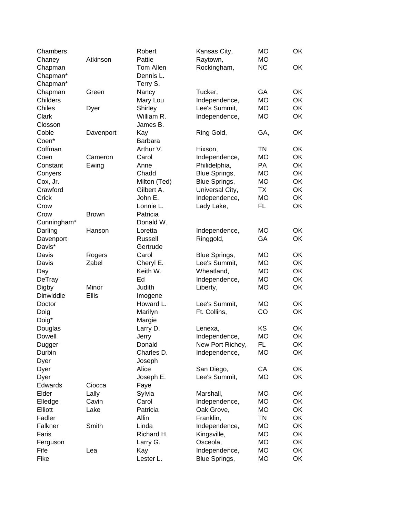| Chambers           |                 | Robert                | Kansas City,     | МO        | OK        |
|--------------------|-----------------|-----------------------|------------------|-----------|-----------|
| Chaney             | Atkinson        | Pattie                | Raytown,         | <b>MO</b> |           |
| Chapman            |                 | Tom Allen             | Rockingham,      | <b>NC</b> | OK        |
| Chapman*           |                 | Dennis L.             |                  |           |           |
| Chapman*           |                 | Terry S.              |                  |           |           |
| Chapman            | Green           | Nancy                 | Tucker,          | <b>GA</b> | OK        |
| <b>Childers</b>    |                 | Mary Lou              | Independence,    | <b>MO</b> | OK        |
| <b>Chiles</b>      | Dyer            | Shirley               | Lee's Summit,    | <b>MO</b> | OK        |
| Clark              |                 | William R.            | Independence,    | <b>MO</b> | OK        |
| Closson            |                 | James B.              |                  |           |           |
| Coble              | Davenport       | Kay                   | Ring Gold,       | GA,       | OK        |
| Coen*              |                 | <b>Barbara</b>        |                  |           |           |
| Coffman            |                 | Arthur V.             | Hixson,          | <b>TN</b> | OK        |
| Coen               | Cameron         | Carol                 | Independence,    | <b>MO</b> | OK        |
| Constant           | Ewing           | Anne                  | Philidelphia,    | PA        | OK        |
| Conyers            |                 | Chadd                 | Blue Springs,    | <b>MO</b> | OK        |
| Cox, Jr.           |                 | Milton (Ted)          | Blue Springs,    | <b>MO</b> | OK        |
| Crawford           |                 | Gilbert A.            | Universal City,  | <b>TX</b> | OK        |
| Crick              |                 | John E.               | Independence,    | <b>MO</b> | <b>OK</b> |
| Crow               |                 | Lonnie L.             | Lady Lake,       | <b>FL</b> | OK        |
| Crow               | <b>Brown</b>    | Patricia              |                  |           |           |
| Cunningham*        |                 | Donald W.             |                  |           |           |
| Darling            | Hanson          | Loretta               | Independence,    | <b>MO</b> | <b>OK</b> |
| Davenport          |                 | Russell               | Ringgold,        | GA        | OK        |
| Davis*             |                 | Gertrude              |                  |           |           |
| Davis              |                 | Carol                 | Blue Springs,    | МO        | OK        |
| Davis              | Rogers<br>Zabel |                       | Lee's Summit,    | <b>MO</b> | OK        |
|                    |                 | Cheryl E.<br>Keith W. | Wheatland,       | <b>MO</b> | OK        |
| Day                |                 | Ed                    |                  | <b>MO</b> | OK        |
| DeTray             | Minor           |                       | Independence,    |           | <b>OK</b> |
| Digby<br>Dinwiddie |                 | Judith                | Liberty,         | <b>MO</b> |           |
|                    | <b>Ellis</b>    | Imogene<br>Howard L.  |                  |           |           |
| Doctor             |                 |                       | Lee's Summit,    | МO        | OK        |
| Doig               |                 | Marilyn               | Ft. Collins,     | CO        | OK        |
| Doig*              |                 | Margie                |                  |           |           |
| Douglas            |                 | Larry D.              | Lenexa,          | KS        | OK        |
| Dowell             |                 | Jerry                 | Independence,    | <b>MO</b> | OK        |
| Dugger             |                 | Donald                | New Port Richey, | FL        | OK        |
| Durbin             |                 | Charles D.            | Independence,    | <b>MO</b> | OK        |
| Dyer               |                 | Joseph                |                  |           |           |
| Dyer               |                 | Alice                 | San Diego,       | CA        | OK        |
| Dyer               |                 | Joseph E.             | Lee's Summit,    | <b>MO</b> | OK        |
| Edwards            | Ciocca          | Faye                  |                  |           |           |
| Elder              | Lally           | Sylvia                | Marshall,        | MO        | OK        |
| Elledge            | Cavin           | Carol                 | Independence,    | MO        | OK        |
| Elliott            | Lake            | Patricia              | Oak Grove,       | MO        | OK        |
| Fadler             |                 | Allin                 | Franklin,        | TN        | OK        |
| Falkner            | Smith           | Linda                 | Independence,    | MO        | OK        |
| Faris              |                 | Richard H.            | Kingsville,      | <b>MO</b> | OK        |
| Ferguson           |                 | Larry G.              | Osceola,         | <b>MO</b> | OK        |
| Fife               | Lea             | Kay                   | Independence,    | <b>MO</b> | OK        |
| Fike               |                 | Lester L.             | Blue Springs,    | <b>MO</b> | OK        |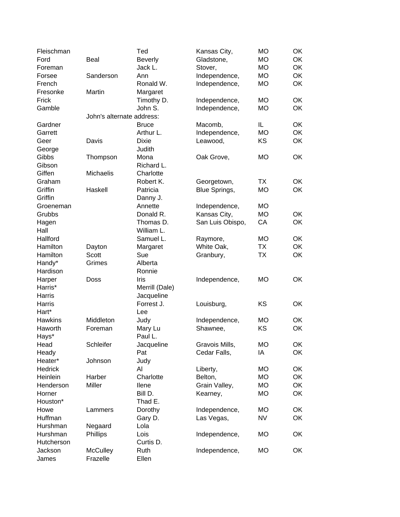| Fleischman          |                           | Ted            | Kansas City,     | <b>MO</b> | OK        |
|---------------------|---------------------------|----------------|------------------|-----------|-----------|
| Ford                | Beal                      | <b>Beverly</b> | Gladstone,       | <b>MO</b> | OK        |
| Foreman             |                           | Jack L.        | Stover,          | <b>MO</b> | OK        |
| Forsee              | Sanderson                 | Ann            | Independence,    | <b>MO</b> | OK        |
| French              |                           | Ronald W.      | Independence,    | <b>MO</b> | OK        |
| Fresonke            | Martin                    | Margaret       |                  |           |           |
| Frick               |                           | Timothy D.     | Independence,    | <b>MO</b> | OK        |
| Gamble              |                           | John S.        | Independence,    | <b>MO</b> | OK        |
|                     | John's alternate address: |                |                  |           |           |
| Gardner             |                           | <b>Bruce</b>   | Macomb,          | IL        | OK        |
| Garrett             |                           | Arthur L.      | Independence,    | <b>MO</b> | OK        |
| Geer                | Davis                     | <b>Dixie</b>   | Leawood,         | KS        | OK        |
| George              |                           | Judith         |                  |           |           |
| Gibbs               | Thompson                  | Mona           | Oak Grove,       | <b>MO</b> | OK        |
| Gibson              |                           | Richard L.     |                  |           |           |
| Giffen              | Michaelis                 | Charlotte      |                  |           |           |
| Graham              |                           | Robert K.      | Georgetown,      | <b>TX</b> | <b>OK</b> |
| Griffin             | Haskell                   | Patricia       | Blue Springs,    | <b>MO</b> | OK        |
| Griffin             |                           | Danny J.       |                  |           |           |
|                     |                           | Annette        | Independence,    | <b>MO</b> |           |
| Groeneman<br>Grubbs |                           | Donald R.      | Kansas City,     | <b>MO</b> | <b>OK</b> |
|                     |                           |                |                  |           |           |
| Hagen               |                           | Thomas D.      | San Luis Obispo, | CA        | <b>OK</b> |
| Hall                |                           | William L.     |                  |           |           |
| Hallford            |                           | Samuel L.      | Raymore,         | <b>MO</b> | OK        |
| Hamilton            | Dayton                    | Margaret       | White Oak,       | <b>TX</b> | OK        |
| Hamilton            | <b>Scott</b>              | Sue            | Granbury,        | <b>TX</b> | OK        |
| Handy*              | Grimes                    | Alberta        |                  |           |           |
| Hardison            |                           | Ronnie         |                  |           |           |
| Harper              | Doss                      | Iris           | Independence,    | <b>MO</b> | OK        |
| Harris*             |                           | Merrill (Dale) |                  |           |           |
| Harris              |                           | Jacqueline     |                  |           |           |
| Harris              |                           | Forrest J.     | Louisburg,       | KS        | <b>OK</b> |
| Hart*               |                           | Lee            |                  |           |           |
| <b>Hawkins</b>      | Middleton                 | Judy           | Independence,    | <b>MO</b> | OK        |
| Haworth             | Foreman                   | Mary Lu        | Shawnee,         | KS        | OK        |
| Hays*               |                           | Paul L.        |                  |           |           |
| Head                | Schleifer                 | Jacqueline     | Gravois Mills,   | <b>MO</b> | OK        |
| Heady               |                           | Pat            | Cedar Falls,     | IA        | OK        |
| Heater*             | Johnson                   | Judy           |                  |           |           |
| <b>Hedrick</b>      |                           | Al             | Liberty,         | MO        | OK        |
| Heinlein            | Harber                    | Charlotte      | Belton,          | <b>MO</b> | OK        |
| Henderson           | Miller                    | llene          | Grain Valley,    | MO        | OK        |
| Horner              |                           | Bill D.        | Kearney,         | <b>MO</b> | OK        |
| Houston*            |                           | Thad E.        |                  |           |           |
| Howe                | Lammers                   | Dorothy        | Independence,    | <b>MO</b> | OK        |
| Huffman             |                           | Gary D.        | Las Vegas,       | <b>NV</b> | OK        |
| Hurshman            | Negaard                   | Lola           |                  |           |           |
| Hurshman            | Phillips                  | Lois           | Independence,    | <b>MO</b> | OK        |
| Hutcherson          |                           | Curtis D.      |                  |           |           |
| Jackson             | <b>McCulley</b>           | Ruth           | Independence,    | <b>MO</b> | OK        |
| James               | Frazelle                  | Ellen          |                  |           |           |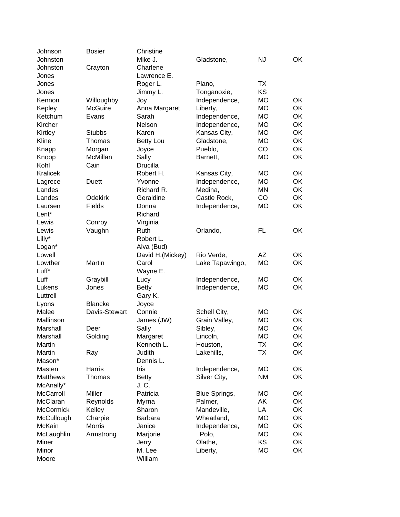| Johnson          | <b>Bosier</b>  | Christine                |                 |           |           |
|------------------|----------------|--------------------------|-----------------|-----------|-----------|
| Johnston         |                | Mike J.                  | Gladstone,      | <b>NJ</b> | ОK        |
| Johnston         | Crayton        | Charlene                 |                 |           |           |
| Jones            |                | Lawrence E.              |                 |           |           |
| Jones            |                | Roger L.                 | Plano,          | <b>TX</b> |           |
| Jones            |                | Jimmy L.                 | Tonganoxie,     | KS        |           |
| Kennon           | Willoughby     | Joy                      | Independence,   | МO        | OK        |
| Kepley           | <b>McGuire</b> | Anna Margaret            | Liberty,        | <b>MO</b> | OK        |
| Ketchum          | Evans          | Sarah                    | Independence,   | <b>MO</b> | <b>OK</b> |
| Kircher          |                | Nelson                   | Independence,   | <b>MO</b> | OK        |
| Kirtley          | Stubbs         | Karen                    | Kansas City,    | <b>MO</b> | <b>OK</b> |
| Kline            | Thomas         | <b>Betty Lou</b>         | Gladstone,      | MO        | <b>OK</b> |
| Knapp            | Morgan         | Joyce                    | Pueblo,         | CO        | OK        |
|                  | McMillan       |                          |                 | <b>MO</b> | OK        |
| Knoop            |                | Sally<br><b>Drucilla</b> | Barnett,        |           |           |
| Kohl             | Cain           |                          |                 |           |           |
| <b>Kralicek</b>  |                | Robert H.                | Kansas City,    | <b>MO</b> | OK        |
| Lagrece          | Duett          | Yvonne                   | Independence,   | MO        | OK        |
| Landes           |                | Richard R.               | Medina,         | <b>MN</b> | <b>OK</b> |
| Landes           | Odekirk        | Geraldine                | Castle Rock,    | CO        | <b>OK</b> |
| Laursen          | Fields         | Donna                    | Independence,   | <b>MO</b> | <b>OK</b> |
| Lent*            |                | Richard                  |                 |           |           |
| Lewis            | Conroy         | Virginia                 |                 |           |           |
| Lewis            | Vaughn         | Ruth                     | Orlando,        | <b>FL</b> | OK        |
| Lilly*           |                | Robert L.                |                 |           |           |
| Logan*           |                | Alva (Bud)               |                 |           |           |
| Lowell           |                | David H.(Mickey)         | Rio Verde,      | AZ        | <b>OK</b> |
| Lowther          | Martin         | Carol                    | Lake Tapawingo, | <b>MO</b> | OK        |
| Luff*            |                | Wayne E.                 |                 |           |           |
| Luff             | Graybill       | Lucy                     | Independence,   | <b>MO</b> | OK        |
| Lukens           | Jones          | <b>Betty</b>             | Independence,   | <b>MO</b> | OK        |
| Luttrell         |                | Gary K.                  |                 |           |           |
| Lyons            | <b>Blancke</b> | Joyce                    |                 |           |           |
| Malee            | Davis-Stewart  | Connie                   | Schell City,    | МO        | OK        |
| Mallinson        |                | James (JW)               | Grain Valley,   | <b>MO</b> | OK        |
| Marshall         | Deer           | Sally                    | Sibley,         | <b>MO</b> | OK        |
| Marshall         | Golding        | Margaret                 | Lincoln,        | <b>MO</b> | OK        |
| Martin           |                | Kenneth L.               | Houston,        | TX        | OK        |
| Martin           | Ray            | Judith                   | Lakehills,      | TX        | OK        |
| Mason*           |                | Dennis L.                |                 |           |           |
| Masten           | Harris         | Iris                     | Independence,   | MO        | OK        |
| <b>Matthews</b>  | Thomas         | <b>Betty</b>             | Silver City,    | <b>NM</b> | OK        |
| McAnally*        |                | J. C.                    |                 |           |           |
| McCarroll        | Miller         | Patricia                 | Blue Springs,   | MO        | OK        |
| McClaran         | Reynolds       | Myrna                    | Palmer,         | AK        | OK        |
| <b>McCormick</b> | Kelley         | Sharon                   | Mandeville,     | LA        | OK        |
|                  |                |                          |                 |           |           |
| McCullough       | Charpie        | Barbara                  | Wheatland,      | <b>MO</b> | OK        |
| McKain           | <b>Morris</b>  | Janice                   | Independence,   | MO        | OK        |
| McLaughlin       | Armstrong      | Marjorie                 | Polo,           | MO        | OK        |
| Miner            |                | Jerry                    | Olathe,         | KS        | OK        |
| Minor            |                | M. Lee                   | Liberty,        | MO        | OK        |
| Moore            |                | William                  |                 |           |           |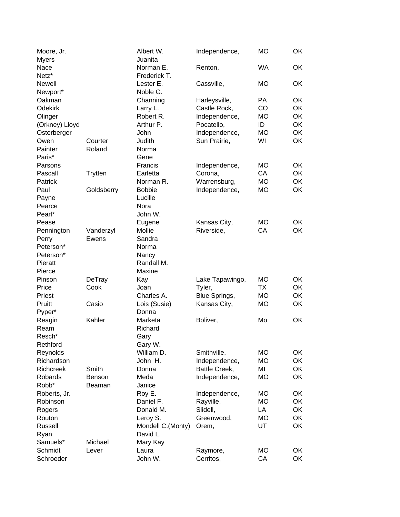| Moore, Jr.<br><b>Myers</b> |            | Albert W.<br>Juanita      | Independence,   | <b>MO</b> | OK        |
|----------------------------|------------|---------------------------|-----------------|-----------|-----------|
| Nace<br>Netz*              |            | Norman E.<br>Frederick T. | Renton,         | <b>WA</b> | OK        |
| Newell<br>Newport*         |            | Lester E.<br>Noble G.     | Cassville,      | <b>MO</b> | OK        |
| Oakman                     |            | Channing                  | Harleysville,   | PA        | OK        |
| <b>Odekirk</b>             |            | Larry L.                  | Castle Rock,    | CO        | OK        |
| Olinger                    |            | Robert R.                 | Independence,   | <b>MO</b> | OK        |
| (Orkney) Lloyd             |            | Arthur P.                 | Pocatello,      | ID        | OK        |
| Osterberger                |            | John                      | Independence,   | <b>MO</b> | OK        |
| Owen                       | Courter    | Judith                    | Sun Prairie,    | WI        | OK        |
| Painter                    | Roland     | Norma                     |                 |           |           |
| Paris*                     |            | Gene                      |                 |           |           |
| Parsons                    |            | Francis                   | Independence,   | МO        | OK        |
| Pascall                    | Trytten    | Earletta                  | Corona,         | CA        | OK        |
| <b>Patrick</b>             |            | Norman R.                 | Warrensburg,    | <b>MO</b> | OK        |
| Paul                       | Goldsberry | <b>Bobbie</b>             | Independence,   | <b>MO</b> | OK        |
| Payne                      |            | Lucille                   |                 |           |           |
| Pearce                     |            | Nora                      |                 |           |           |
| Pearl*                     |            | John W.                   |                 |           |           |
| Pease                      |            | Eugene                    | Kansas City,    | МO        | <b>OK</b> |
| Pennington                 | Vanderzyl  | Mollie                    | Riverside,      | CA        | OK        |
| Perry                      | Ewens      | Sandra                    |                 |           |           |
| Peterson*                  |            | Norma                     |                 |           |           |
| Peterson*                  |            | Nancy                     |                 |           |           |
| Pieratt                    |            | Randall M.                |                 |           |           |
| Pierce                     |            | Maxine                    |                 |           |           |
| Pinson                     | DeTray     | Kay                       | Lake Tapawingo, | <b>MO</b> | <b>OK</b> |
| Price                      | Cook       | Joan                      | Tyler,          | TX        | OK        |
| Priest                     |            | Charles A.                | Blue Springs,   | <b>MO</b> | OK        |
| Pruitt                     | Casio      | Lois (Susie)              | Kansas City,    | <b>MO</b> | OK        |
| Pyper*                     |            | Donna                     |                 |           |           |
| Reagin                     | Kahler     | Marketa                   | Boliver,        | Mo        | OK        |
| Ream                       |            | Richard                   |                 |           |           |
| Resch*                     |            | Gary                      |                 |           |           |
| Rethford                   |            | Gary W.                   |                 |           |           |
| Reynolds                   |            | William D.                | Smithville,     | <b>MO</b> | OK        |
| Richardson                 |            | John H.                   | Independence,   | <b>MO</b> | OK        |
| Richcreek                  | Smith      | Donna                     | Battle Creek,   | MI        | OK        |
| Robards                    | Benson     | Meda                      | Independence,   | <b>MO</b> | OK        |
| Robb*                      | Beaman     | Janice                    |                 |           |           |
| Roberts, Jr.               |            | Roy E.                    | Independence,   | <b>MO</b> | OK        |
| Robinson                   |            | Daniel F.                 | Rayville,       | <b>MO</b> | OK        |
| Rogers                     |            | Donald M.                 | Slidell,        | LA        | OK        |
| Routon                     |            | Leroy S.                  | Greenwood,      | MO        | OK        |
| Russell                    |            | Mondell C.(Monty)         | Orem,           | UT        | OK        |
| Ryan                       |            | David L.                  |                 |           |           |
| Samuels*                   | Michael    | Mary Kay                  |                 |           |           |
| Schmidt                    | Lever      | Laura                     | Raymore,        | <b>MO</b> | OK        |
| Schroeder                  |            | John W.                   | Cerritos,       | CA        | OK        |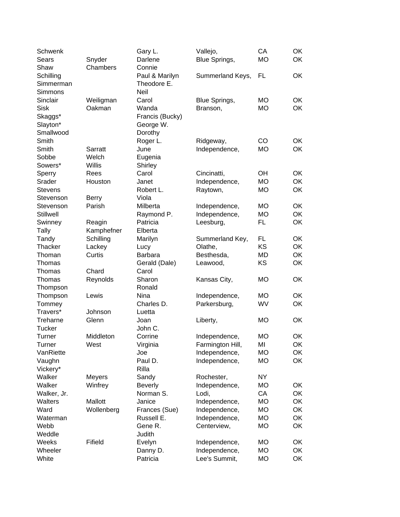| Schwenk          |            | Gary L.         | Vallejo,         | CA        | OK        |
|------------------|------------|-----------------|------------------|-----------|-----------|
| <b>Sears</b>     | Snyder     | Darlene         | Blue Springs,    | <b>MO</b> | OK        |
| Shaw             | Chambers   | Connie          |                  |           |           |
| Schilling        |            | Paul & Marilyn  | Summerland Keys, | FL        | OK        |
| Simmerman        |            | Theodore E.     |                  |           |           |
| Simmons          |            | Neil            |                  |           |           |
| Sinclair         | Weiligman  | Carol           | Blue Springs,    | МO        | OK        |
| <b>Sisk</b>      | Oakman     | Wanda           | Branson,         | <b>MO</b> | OK        |
| Skaggs*          |            | Francis (Bucky) |                  |           |           |
| Slayton*         |            | George W.       |                  |           |           |
| Smallwood        |            | Dorothy         |                  |           |           |
| Smith            |            | Roger L.        | Ridgeway,        | CO        | OK        |
| Smith            | Sarratt    | June            | Independence,    | МO        | OK        |
| Sobbe            | Welch      | Eugenia         |                  |           |           |
| Sowers*          | Willis     | Shirley         |                  |           |           |
| Sperry           | Rees       | Carol           | Cincinatti,      | OH        | OK        |
| Srader           | Houston    | Janet           | Independence,    | <b>MO</b> | OK        |
| <b>Stevens</b>   |            | Robert L.       | Raytown,         | <b>MO</b> | OK        |
| Stevenson        | Berry      | Viola           |                  |           |           |
| Stevenson        | Parish     | Milberta        | Independence,    | МO        | <b>OK</b> |
| <b>Stillwell</b> |            | Raymond P.      | Independence,    | <b>MO</b> | OK        |
| Swinney          | Reagin     | Patricia        | Leesburg,        | FL.       | OK        |
| Tally            | Kamphefner | Elberta         |                  |           |           |
| Tandy            | Schilling  | Marilyn         | Summerland Key,  | FL.       | <b>OK</b> |
| Thacker          | Lackey     | Lucy            | Olathe,          | <b>KS</b> | OK        |
| Thoman           | Curtis     | <b>Barbara</b>  | Besthesda,       | MD        | <b>OK</b> |
| Thomas           |            | Gerald (Dale)   | Leawood,         | KS        | <b>OK</b> |
| Thomas           | Chard      | Carol           |                  |           |           |
| Thomas           | Reynolds   | Sharon          | Kansas City,     | МO        | OK        |
| Thompson         |            | Ronald          |                  |           |           |
| Thompson         | Lewis      | Nina            | Independence,    | MO        | OK        |
| Tommey           |            | Charles D.      | Parkersburg,     | WV        | <b>OK</b> |
| Travers*         | Johnson    | Luetta          |                  |           |           |
| Treharne         | Glenn      | Joan            | Liberty,         | МO        | <b>OK</b> |
| <b>Tucker</b>    |            | John C.         |                  |           |           |
| Turner           | Middleton  | Corrine         | Independence,    | <b>MO</b> | OK        |
| Turner           | West       | Virginia        | Farmington Hill, | MI        | OK        |
| VanRiette        |            | Joe             | Independence,    | <b>MO</b> | OK        |
| Vaughn           |            | Paul D.         | Independence,    | <b>MO</b> | OK        |
| Vickery*         |            | Rilla           |                  |           |           |
| Walker           | Meyers     | Sandy           | Rochester,       | NY        |           |
| Walker           | Winfrey    | <b>Beverly</b>  | Independence,    | MO        | OK        |
| Walker, Jr.      |            | Norman S.       | Lodi,            | CA        | OK        |
| Walters          | Mallott    | Janice          | Independence,    | <b>MO</b> | OK        |
| Ward             | Wollenberg | Frances (Sue)   | Independence,    | MO        | OK        |
| Waterman         |            | Russell E.      | Independence,    | MO        | OK        |
| Webb             |            | Gene R.         | Centerview,      | MO        | OK        |
| Weddle           |            | Judith          |                  |           |           |
| Weeks            | Fifield    | Evelyn          | Independence,    | MO        | OK        |
| Wheeler          |            | Danny D.        | Independence,    | МO        | OK        |
| White            |            | Patricia        | Lee's Summit,    | МO        | OK        |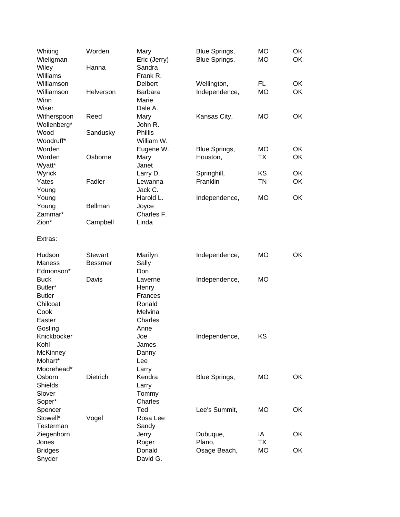| Whiting<br>Wieligman | Worden          | Mary<br>Eric (Jerry)  | Blue Springs,<br>Blue Springs, | МO<br><b>MO</b> | OK.<br>OK |
|----------------------|-----------------|-----------------------|--------------------------------|-----------------|-----------|
| Wiley                | Hanna           | Sandra                |                                |                 |           |
| Williams             |                 | Frank R.              |                                |                 |           |
| Williamson           |                 | <b>Delbert</b>        | Wellington,                    | FL.             | <b>OK</b> |
| Williamson           | Helverson       | Barbara               | Independence,                  | <b>MO</b>       | OK        |
| Winn                 |                 | Marie                 |                                |                 |           |
| Wiser                |                 | Dale A.               |                                |                 |           |
| Witherspoon          | Reed            | Mary<br>John R.       | Kansas City,                   | <b>MO</b>       | OK        |
| Wollenberg*          |                 |                       |                                |                 |           |
| Wood<br>Woodruff*    | Sandusky        | Phillis<br>William W. |                                |                 |           |
| Worden               |                 |                       |                                | <b>MO</b>       | <b>OK</b> |
| Worden               | Osborne         | Eugene W.             | Blue Springs,                  | <b>TX</b>       | OK        |
|                      |                 | Mary<br>Janet         | Houston,                       |                 |           |
| Wyatt*               |                 |                       |                                |                 | <b>OK</b> |
| Wyrick               | Fadler          | Larry D.              | Springhill,<br>Franklin        | KS<br><b>TN</b> | <b>OK</b> |
| Yates                |                 | Lewanna<br>Jack C.    |                                |                 |           |
| Young                |                 | Harold L.             |                                |                 | OK.       |
| Young                | Bellman         |                       | Independence,                  | <b>MO</b>       |           |
| Young<br>Zammar*     |                 | Joyce<br>Charles F.   |                                |                 |           |
| Zion*                |                 | Linda                 |                                |                 |           |
|                      | Campbell        |                       |                                |                 |           |
| Extras:              |                 |                       |                                |                 |           |
| Hudson               | <b>Stewart</b>  | Marilyn               | Independence,                  | MO              | <b>OK</b> |
| <b>Maness</b>        | <b>Bessmer</b>  | Sally                 |                                |                 |           |
| Edmonson*            |                 | Don                   |                                |                 |           |
| <b>Buck</b>          | Davis           | Laverne               | Independence,                  | <b>MO</b>       |           |
| Butler*              |                 | Henry                 |                                |                 |           |
| <b>Butler</b>        |                 | Frances               |                                |                 |           |
| Chilcoat             |                 | Ronald                |                                |                 |           |
| Cook                 |                 | Melvina               |                                |                 |           |
| Easter               |                 | Charles               |                                |                 |           |
| Gosling              |                 | Anne                  |                                |                 |           |
| Knickbocker          |                 | Joe                   | Independence,                  | KS              |           |
| Kohl                 |                 | James                 |                                |                 |           |
| <b>McKinney</b>      |                 | Danny                 |                                |                 |           |
| Mohart*              |                 | Lee                   |                                |                 |           |
| Moorehead*           |                 | Larry                 |                                |                 |           |
| Osborn               | <b>Dietrich</b> | Kendra                | Blue Springs,                  | <b>MO</b>       | OK        |
| <b>Shields</b>       |                 | Larry                 |                                |                 |           |
| Slover               |                 | Tommy                 |                                |                 |           |
| Soper*               |                 | Charles               |                                |                 |           |
| Spencer              |                 | Ted                   | Lee's Summit,                  | <b>MO</b>       | OK.       |
| Stowell*             | Vogel           | Rosa Lee              |                                |                 |           |
| Testerman            |                 | Sandy                 |                                |                 |           |
| Ziegenhorn           |                 | Jerry                 | Dubuque,                       | IA              | OK        |
| Jones                |                 | Roger                 | Plano,                         | TX              |           |
| <b>Bridges</b>       |                 | Donald                | Osage Beach,                   | <b>MO</b>       | OK        |
| Snyder               |                 | David G.              |                                |                 |           |